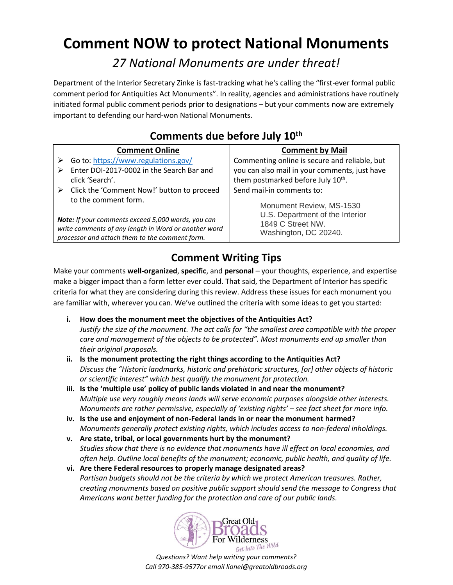# **Comment NOW to protect National Monuments**

*27 National Monuments are under threat!*

Department of the Interior Secretary Zinke is fast-tracking what he's calling the "first-ever formal public comment period for Antiquities Act Monuments". In reality, agencies and administrations have routinely initiated formal public comment periods prior to designations – but your comments now are extremely important to defending our hard-won National Monuments.

| COMMICITIES AND RETOLE SAIT TO                                                                                                     |                                                                                                           |  |  |  |
|------------------------------------------------------------------------------------------------------------------------------------|-----------------------------------------------------------------------------------------------------------|--|--|--|
| <b>Comment Online</b>                                                                                                              | <b>Comment by Mail</b>                                                                                    |  |  |  |
| Go to: https://www.regulations.gov/                                                                                                | Commenting online is secure and reliable, but                                                             |  |  |  |
| Enter DOI-2017-0002 in the Search Bar and                                                                                          | you can also mail in your comments, just have                                                             |  |  |  |
| click 'Search'.                                                                                                                    | them postmarked before July 10 <sup>th</sup> .                                                            |  |  |  |
| Click the 'Comment Now!' button to proceed<br>➤                                                                                    | Send mail-in comments to:                                                                                 |  |  |  |
| to the comment form.<br>Note: If your comments exceed 5,000 words, you can<br>write comments of any length in Word or another word | Monument Review, MS-1530<br>U.S. Department of the Interior<br>1849 C Street NW.<br>Washington, DC 20240. |  |  |  |
| processor and attach them to the comment form.                                                                                     |                                                                                                           |  |  |  |

### **Comments due before July 10th**

## **Comment Writing Tips**

Make your comments **well-organized**, **specific**, and **personal** – your thoughts, experience, and expertise make a bigger impact than a form letter ever could. That said, the Department of Interior has specific criteria for what they are considering during this review. Address these issues for each monument you are familiar with, wherever you can. We've outlined the criteria with some ideas to get you started:

- **i. How does the monument meet the objectives of the Antiquities Act?** *Justify the size of the monument. The act calls for "the smallest area compatible with the proper care and management of the objects to be protected". Most monuments end up smaller than their original proposals.*
- **ii. Is the monument protecting the right things according to the Antiquities Act?** *Discuss the "Historic landmarks, historic and prehistoric structures, [or] other objects of historic or scientific interest" which best qualify the monument for protection.*
- **iii. Is the 'multiple use' policy of public lands violated in and near the monument?** *Multiple use very roughly means lands will serve economic purposes alongside other interests. Monuments are rather permissive, especially of 'existing rights' – see fact sheet for more info.*
- **iv. Is the use and enjoyment of non-Federal lands in or near the monument harmed?** *Monuments generally protect existing rights, which includes access to non-federal inholdings.*
- **v. Are state, tribal, or local governments hurt by the monument?** *Studies show that there is no evidence that monuments have ill effect on local economies, and often help. Outline local benefits of the monument; economic, public health, and quality of life.*
- **vi. Are there Federal resources to properly manage designated areas?** *Partisan budgets should not be the criteria by which we protect American treasures. Rather, creating monuments based on positive public support should send the message to Congress that Americans want better funding for the protection and care of our public lands.*

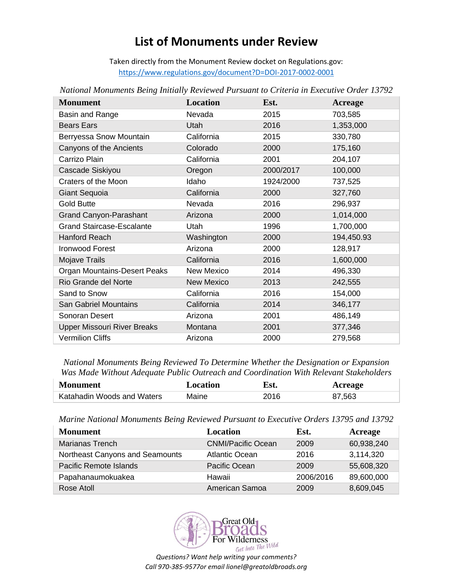# **List of Monuments under Review**

Taken directly from the Monument Review docket on Regulations.gov: <https://www.regulations.gov/document?D=DOI-2017-0002-0001>

| <b>Monument</b>                     | Location          | Est.      | <b>Acreage</b> |
|-------------------------------------|-------------------|-----------|----------------|
| Basin and Range                     | Nevada            | 2015      | 703,585        |
| <b>Bears Ears</b>                   | Utah              | 2016      | 1,353,000      |
| Berryessa Snow Mountain             | California        | 2015      | 330,780        |
| Canyons of the Ancients             | Colorado          | 2000      | 175,160        |
| Carrizo Plain                       | California        | 2001      | 204,107        |
| Cascade Siskiyou                    | Oregon            | 2000/2017 | 100,000        |
| Craters of the Moon                 | Idaho             | 1924/2000 | 737,525        |
| <b>Giant Sequoia</b>                | California        | 2000      | 327,760        |
| <b>Gold Butte</b>                   | Nevada            | 2016      | 296,937        |
| <b>Grand Canyon-Parashant</b>       | Arizona           | 2000      | 1,014,000      |
| <b>Grand Staircase-Escalante</b>    | Utah              | 1996      | 1,700,000      |
| Hanford Reach                       | Washington        | 2000      | 194,450.93     |
| <b>Ironwood Forest</b>              | Arizona           | 2000      | 128,917        |
| Mojave Trails                       | California        | 2016      | 1,600,000      |
| <b>Organ Mountains-Desert Peaks</b> | New Mexico        | 2014      | 496,330        |
| Rio Grande del Norte                | <b>New Mexico</b> | 2013      | 242,555        |
| Sand to Snow                        | California        | 2016      | 154,000        |
| <b>San Gabriel Mountains</b>        | California        | 2014      | 346,177        |
| Sonoran Desert                      | Arizona           | 2001      | 486,149        |
| <b>Upper Missouri River Breaks</b>  | Montana           | 2001      | 377,346        |
| <b>Vermilion Cliffs</b>             | Arizona           | 2000      | 279,568        |

*National Monuments Being Initially Reviewed Pursuant to Criteria in Executive Order 13792*

*National Monuments Being Reviewed To Determine Whether the Designation or Expansion Was Made Without Adequate Public Outreach and Coordination With Relevant Stakeholders*

| <b>Monument</b>            | Location | Est. | Acreage |
|----------------------------|----------|------|---------|
| Katahadin Woods and Waters | Maine    | 2016 | 87,563  |

*Marine National Monuments Being Reviewed Pursuant to Executive Orders 13795 and 13792*

| <b>Monument</b>                 | <b>Location</b>           | Est.      | Acreage    |
|---------------------------------|---------------------------|-----------|------------|
| <b>Marianas Trench</b>          | <b>CNMI/Pacific Ocean</b> | 2009      | 60,938,240 |
| Northeast Canyons and Seamounts | <b>Atlantic Ocean</b>     | 2016      | 3,114,320  |
| Pacific Remote Islands          | Pacific Ocean             | 2009      | 55,608,320 |
| Papahanaumokuakea               | Hawaii                    | 2006/2016 | 89,600,000 |
| Rose Atoll                      | American Samoa            | 2009      | 8,609,045  |

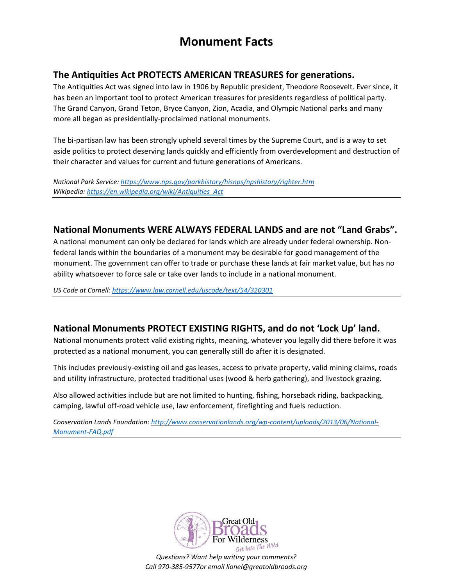# **Monument Facts**

#### **The Antiquities Act PROTECTS AMERICAN TREASURES for generations.**

The Antiquities Act was signed into law in 1906 by Republic president, Theodore Roosevelt. Ever since, it has been an important tool to protect American treasures for presidents regardless of political party. The Grand Canyon, Grand Teton, Bryce Canyon, Zion, Acadia, and Olympic National parks and many more all began as presidentially-proclaimed national monuments.

The bi-partisan law has been strongly upheld several times by the Supreme Court, and is a way to set aside politics to protect deserving lands quickly and efficiently from overdevelopment and destruction of their character and values for current and future generations of Americans.

*National Park Service:<https://www.nps.gov/parkhistory/hisnps/npshistory/righter.htm> Wikipedia[: https://en.wikipedia.org/wiki/Antiquities\\_Act](https://en.wikipedia.org/wiki/Antiquities_Act)*

#### **National Monuments WERE ALWAYS FEDERAL LANDS and are not "Land Grabs".**

A national monument can only be declared for lands which are already under federal ownership. Nonfederal lands within the boundaries of a monument may be desirable for good management of the monument. The government can offer to trade or purchase these lands at fair market value, but has no ability whatsoever to force sale or take over lands to include in a national monument.

*US Code at Cornell[: https://www.law.cornell.edu/uscode/text/54/320301](https://www.law.cornell.edu/uscode/text/54/320301)*

#### **National Monuments PROTECT EXISTING RIGHTS, and do not 'Lock Up' land.**

National monuments protect valid existing rights, meaning, whatever you legally did there before it was protected as a national monument, you can generally still do after it is designated.

This includes previously-existing oil and gas leases, access to private property, valid mining claims, roads and utility infrastructure, protected traditional uses (wood & herb gathering), and livestock grazing.

Also allowed activities include but are not limited to hunting, fishing, horseback riding, backpacking, camping, lawful off-road vehicle use, law enforcement, firefighting and fuels reduction.

*Conservation Lands Foundation[: http://www.conservationlands.org/wp-content/uploads/2013/06/National-](http://www.conservationlands.org/wp-content/uploads/2013/06/National-Monument-FAQ.pdf)[Monument-FAQ.pdf](http://www.conservationlands.org/wp-content/uploads/2013/06/National-Monument-FAQ.pdf)*